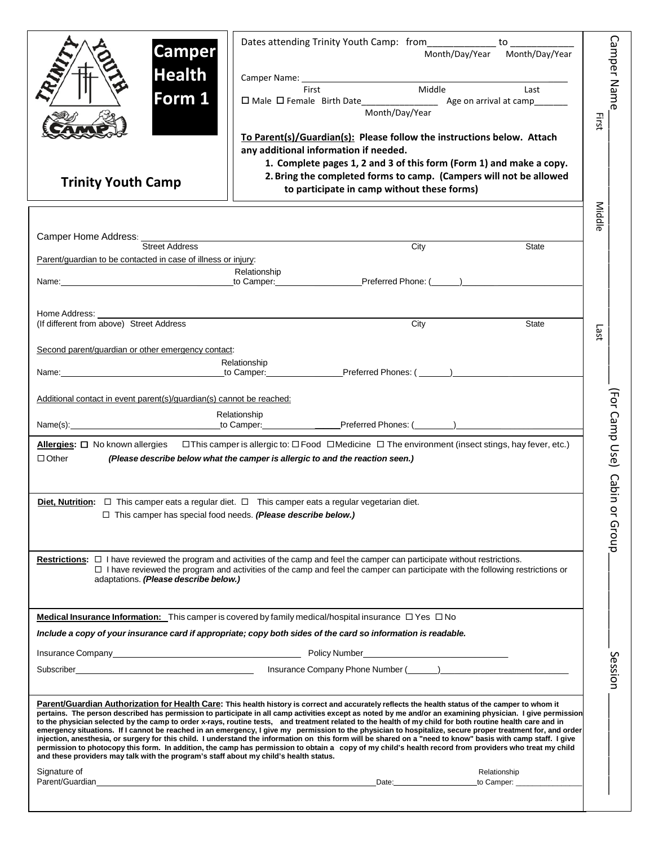| <b>Camper</b><br><b>Health</b><br>Form 1                                                                                                                                                                                                                                                                                         | Month/Day/Year Month/Day/Year<br>Camper Name: First Middle<br>Last<br>Month/Day/Year<br>First<br>To Parent(s)/Guardian(s): Please follow the instructions below. Attach                                                                                                                                                                                                                                                                                                                                                                                                                                                                                                                                                                                                                                                                                                                                                                                             |
|----------------------------------------------------------------------------------------------------------------------------------------------------------------------------------------------------------------------------------------------------------------------------------------------------------------------------------|---------------------------------------------------------------------------------------------------------------------------------------------------------------------------------------------------------------------------------------------------------------------------------------------------------------------------------------------------------------------------------------------------------------------------------------------------------------------------------------------------------------------------------------------------------------------------------------------------------------------------------------------------------------------------------------------------------------------------------------------------------------------------------------------------------------------------------------------------------------------------------------------------------------------------------------------------------------------|
| <b>Trinity Youth Camp</b>                                                                                                                                                                                                                                                                                                        | any additional information if needed.<br>1. Complete pages 1, 2 and 3 of this form (Form 1) and make a copy.<br>2. Bring the completed forms to camp. (Campers will not be allowed<br>to participate in camp without these forms)                                                                                                                                                                                                                                                                                                                                                                                                                                                                                                                                                                                                                                                                                                                                   |
| Camper Home Address: Street Address<br>Street Address<br>Parent/guardian to be contacted in case of illness or injury:                                                                                                                                                                                                           | Middle<br>City<br>State<br>Relationship<br>Name: <u>Name: Name: Name: Name: Name: Name: Name: Name: Name: Name: (Name: (Name: (Name: (Name: Name: Name: Name: Name: Name: Name: Name: Name: Name: Name: Name: Name: Name: Name: Name: Name: Name: Name: Name: Name: Name: N</u>                                                                                                                                                                                                                                                                                                                                                                                                                                                                                                                                                                                                                                                                                     |
| Home Address: North American Contract Contract Contract Contract Contract Contract Contract Contract Contract Contract Contract Contract Contract Contract Contract Contract Contract Contract Contract Contract Contract Cont<br>(If different from above) Street Address<br>Second parent/guardian or other emergency contact: | <b>State</b><br>City<br>Last                                                                                                                                                                                                                                                                                                                                                                                                                                                                                                                                                                                                                                                                                                                                                                                                                                                                                                                                        |
| Additional contact in event parent(s)/guardian(s) cannot be reached:                                                                                                                                                                                                                                                             | Relationship<br>Relationship                                                                                                                                                                                                                                                                                                                                                                                                                                                                                                                                                                                                                                                                                                                                                                                                                                                                                                                                        |
| $\Box$ Other<br><b>Diet, Nutrition:</b> $\Box$ This camper eats a regular diet. $\Box$ This camper eats a regular vegetarian diet.<br>$\Box$ This camper has special food needs. (Please describe below.)                                                                                                                        | Allergies: □ No known allergies □ This camper is allergic to: □ Food □ Medicine □ The environment (insect stings, hay fever, etc.)<br>(Please describe below what the camper is allergic to and the reaction seen.)                                                                                                                                                                                                                                                                                                                                                                                                                                                                                                                                                                                                                                                                                                                                                 |
| adaptations. (Please describe below.)                                                                                                                                                                                                                                                                                            | Restrictions: $\Box$ I have reviewed the program and activities of the camp and feel the camper can participate without restrictions.<br>$\Box$ I have reviewed the program and activities of the camp and feel the camper can participate with the following restrictions or                                                                                                                                                                                                                                                                                                                                                                                                                                                                                                                                                                                                                                                                                       |
|                                                                                                                                                                                                                                                                                                                                  | Medical Insurance Information: This camper is covered by family medical/hospital insurance $\Box$ Yes $\Box$ No<br>Include a copy of your insurance card if appropriate; copy both sides of the card so information is readable.                                                                                                                                                                                                                                                                                                                                                                                                                                                                                                                                                                                                                                                                                                                                    |
|                                                                                                                                                                                                                                                                                                                                  |                                                                                                                                                                                                                                                                                                                                                                                                                                                                                                                                                                                                                                                                                                                                                                                                                                                                                                                                                                     |
| and these providers may talk with the program's staff about my child's health status.                                                                                                                                                                                                                                            | Parent/Guardian Authorization for Health Care: This health history is correct and accurately reflects the health status of the camper to whom it<br>pertains. The person described has permission to participate in all camp activities except as noted by me and/or an examining physician. I give permission<br>to the physician selected by the camp to order x-rays, routine tests, and treatment related to the health of my child for both routine health care and in<br>emergency situations. If I cannot be reached in an emergency, I give my permission to the physician to hospitalize, secure proper treatment for, and order<br>injection, anesthesia, or surgery for this child. I understand the information on this form will be shared on a "need to know" basis with camp staff. I give<br>permission to photocopy this form. In addition, the camp has permission to obtain a copy of my child's health record from providers who treat my child |
| Signature of                                                                                                                                                                                                                                                                                                                     | Relationship<br>Date: the contract of the contract of the contract of the contract of the contract of the contract of the contract of the contract of the contract of the contract of the contract of the contract of the contract of the cont<br>to Camper: ______________                                                                                                                                                                                                                                                                                                                                                                                                                                                                                                                                                                                                                                                                                         |
|                                                                                                                                                                                                                                                                                                                                  |                                                                                                                                                                                                                                                                                                                                                                                                                                                                                                                                                                                                                                                                                                                                                                                                                                                                                                                                                                     |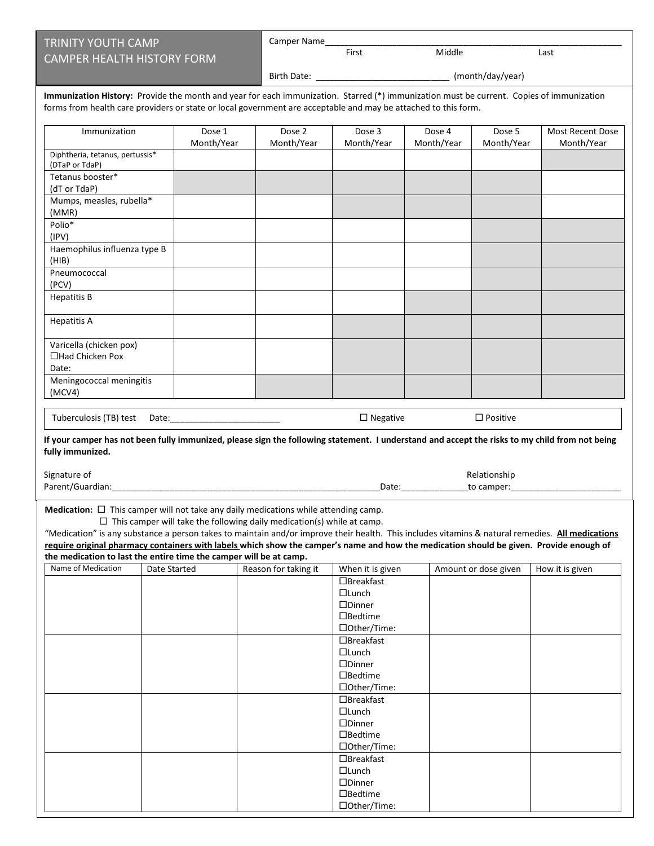| <b>TRINITY YOUTH CAMP</b><br><b>CAMPER HEALTH HISTORY FORM</b> | Camper Name<br>Middle<br>First |  | Last             |  |
|----------------------------------------------------------------|--------------------------------|--|------------------|--|
|                                                                | Birth Date:                    |  | (month/day/year) |  |

**Immunization History:** Provide the month and year for each immunization. Starred (\*) immunization must be current. Copies of immunization forms from health care providers or state or local government are acceptable and may be attached to this form.

| Immunization                                                                                                                                                                                                                                                                                                                                                                                                                                                  | Dose 1<br>Month/Year | Dose 2<br>Month/Year                                                          | Dose 3<br>Month/Year               | Dose 4<br>Month/Year | Dose 5<br>Month/Year | <b>Most Recent Dose</b><br>Month/Year |
|---------------------------------------------------------------------------------------------------------------------------------------------------------------------------------------------------------------------------------------------------------------------------------------------------------------------------------------------------------------------------------------------------------------------------------------------------------------|----------------------|-------------------------------------------------------------------------------|------------------------------------|----------------------|----------------------|---------------------------------------|
| Diphtheria, tetanus, pertussis*<br>(DTaP or TdaP)                                                                                                                                                                                                                                                                                                                                                                                                             |                      |                                                                               |                                    |                      |                      |                                       |
| Tetanus booster*<br>(dT or TdaP)                                                                                                                                                                                                                                                                                                                                                                                                                              |                      |                                                                               |                                    |                      |                      |                                       |
| Mumps, measles, rubella*                                                                                                                                                                                                                                                                                                                                                                                                                                      |                      |                                                                               |                                    |                      |                      |                                       |
| (MMR)                                                                                                                                                                                                                                                                                                                                                                                                                                                         |                      |                                                                               |                                    |                      |                      |                                       |
| Polio*<br>(IPV)                                                                                                                                                                                                                                                                                                                                                                                                                                               |                      |                                                                               |                                    |                      |                      |                                       |
| Haemophilus influenza type B                                                                                                                                                                                                                                                                                                                                                                                                                                  |                      |                                                                               |                                    |                      |                      |                                       |
| (HIB)                                                                                                                                                                                                                                                                                                                                                                                                                                                         |                      |                                                                               |                                    |                      |                      |                                       |
| Pneumococcal<br>(PCV)                                                                                                                                                                                                                                                                                                                                                                                                                                         |                      |                                                                               |                                    |                      |                      |                                       |
| <b>Hepatitis B</b>                                                                                                                                                                                                                                                                                                                                                                                                                                            |                      |                                                                               |                                    |                      |                      |                                       |
| <b>Hepatitis A</b>                                                                                                                                                                                                                                                                                                                                                                                                                                            |                      |                                                                               |                                    |                      |                      |                                       |
| Varicella (chicken pox)                                                                                                                                                                                                                                                                                                                                                                                                                                       |                      |                                                                               |                                    |                      |                      |                                       |
| □Had Chicken Pox                                                                                                                                                                                                                                                                                                                                                                                                                                              |                      |                                                                               |                                    |                      |                      |                                       |
| Date:                                                                                                                                                                                                                                                                                                                                                                                                                                                         |                      |                                                                               |                                    |                      |                      |                                       |
| Meningococcal meningitis<br>(MCV4)                                                                                                                                                                                                                                                                                                                                                                                                                            |                      |                                                                               |                                    |                      |                      |                                       |
| Tuberculosis (TB) test Date:_________________________                                                                                                                                                                                                                                                                                                                                                                                                         |                      |                                                                               | $\Box$ Negative                    |                      | $\Box$ Positive      |                                       |
|                                                                                                                                                                                                                                                                                                                                                                                                                                                               |                      |                                                                               |                                    |                      |                      |                                       |
| Signature of<br>Parent/Guardian: Management Control of the Parent Control of the Parent Control of the Parent Control of the P                                                                                                                                                                                                                                                                                                                                |                      |                                                                               |                                    | Date: Date:          | Relationship         |                                       |
| Medication: $\Box$ This camper will not take any daily medications while attending camp.<br>"Medication" is any substance a person takes to maintain and/or improve their health. This includes vitamins & natural remedies. All medications<br>require original pharmacy containers with labels which show the camper's name and how the medication should be given. Provide enough of<br>the medication to last the entire time the camper will be at camp. |                      | $\Box$ This camper will take the following daily medication(s) while at camp. |                                    |                      |                      |                                       |
| Name of Medication                                                                                                                                                                                                                                                                                                                                                                                                                                            | Date Started         | Reason for taking it                                                          | When it is given                   |                      | Amount or dose given | How it is given                       |
|                                                                                                                                                                                                                                                                                                                                                                                                                                                               |                      |                                                                               | $\Box$ Breakfast                   |                      |                      |                                       |
|                                                                                                                                                                                                                                                                                                                                                                                                                                                               |                      |                                                                               | $\Box$ Lunch                       |                      |                      |                                       |
|                                                                                                                                                                                                                                                                                                                                                                                                                                                               |                      |                                                                               | $\square$ Dinner                   |                      |                      |                                       |
|                                                                                                                                                                                                                                                                                                                                                                                                                                                               |                      |                                                                               | $\Box$ Bedtime                     |                      |                      |                                       |
|                                                                                                                                                                                                                                                                                                                                                                                                                                                               |                      |                                                                               | □Other/Time:                       |                      |                      |                                       |
|                                                                                                                                                                                                                                                                                                                                                                                                                                                               |                      |                                                                               | $\Box$ Breakfast                   |                      |                      |                                       |
|                                                                                                                                                                                                                                                                                                                                                                                                                                                               |                      |                                                                               | $\Box$ Lunch                       |                      |                      |                                       |
|                                                                                                                                                                                                                                                                                                                                                                                                                                                               |                      |                                                                               | $\square$ Dinner<br>$\Box$ Bedtime |                      |                      |                                       |
|                                                                                                                                                                                                                                                                                                                                                                                                                                                               |                      |                                                                               | □Other/Time:                       |                      |                      |                                       |
|                                                                                                                                                                                                                                                                                                                                                                                                                                                               |                      |                                                                               | $\Box$ Breakfast                   |                      |                      |                                       |
|                                                                                                                                                                                                                                                                                                                                                                                                                                                               |                      |                                                                               | $\Box$ Lunch                       |                      |                      |                                       |
|                                                                                                                                                                                                                                                                                                                                                                                                                                                               |                      |                                                                               | $\square$ Dinner                   |                      |                      |                                       |
|                                                                                                                                                                                                                                                                                                                                                                                                                                                               |                      |                                                                               | $\Box$ Bedtime                     |                      |                      |                                       |
|                                                                                                                                                                                                                                                                                                                                                                                                                                                               |                      |                                                                               | □Other/Time:                       |                      |                      |                                       |
|                                                                                                                                                                                                                                                                                                                                                                                                                                                               |                      |                                                                               | $\Box$ Breakfast                   |                      |                      |                                       |
|                                                                                                                                                                                                                                                                                                                                                                                                                                                               |                      |                                                                               | $\Box$ Lunch                       |                      |                      |                                       |
|                                                                                                                                                                                                                                                                                                                                                                                                                                                               |                      |                                                                               | $\square$ Dinner                   |                      |                      |                                       |
|                                                                                                                                                                                                                                                                                                                                                                                                                                                               |                      |                                                                               | $\Box$ Bedtime                     |                      |                      |                                       |
|                                                                                                                                                                                                                                                                                                                                                                                                                                                               |                      |                                                                               | □Other/Time:                       |                      |                      |                                       |